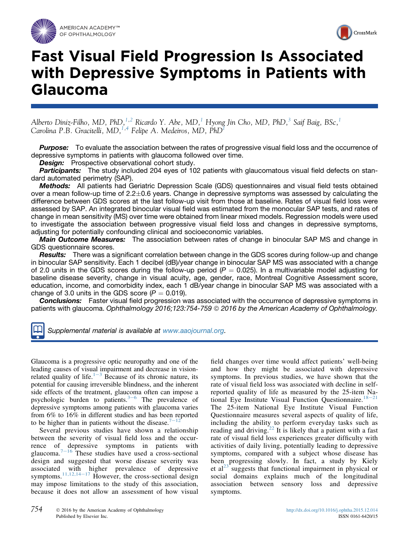



# Fast Visual Field Progression Is Associated with Depressive Symptoms in Patients with Glaucoma

Alberto Diniz-Filho, MD, PhD, $^{1,2}$  Ricardo Y. Abe, MD, $^{1}$  Hyong Jin Cho, MD, PhD, $^{3}$  Saif Baig, BSc, $^{1}$ Carolina P.B. Gracitelli,  $MD, ^{1,4}$  Felipe A. Medeiros,  $MD,$   $\widetilde{PhD}^1$ 

**Purpose:** To evaluate the association between the rates of progressive visual field loss and the occurrence of depressive symptoms in patients with glaucoma followed over time.

**Design:** Prospective observational cohort study.

Participants: The study included 204 eyes of 102 patients with glaucomatous visual field defects on standard automated perimetry (SAP).

Methods: All patients had Geriatric Depression Scale (GDS) questionnaires and visual field tests obtained over a mean follow-up time of  $2.2 \pm 0.6$  years. Change in depressive symptoms was assessed by calculating the difference between GDS scores at the last follow-up visit from those at baseline. Rates of visual field loss were assessed by SAP. An integrated binocular visual field was estimated from the monocular SAP tests, and rates of change in mean sensitivity (MS) over time were obtained from linear mixed models. Regression models were used to investigate the association between progressive visual field loss and changes in depressive symptoms, adjusting for potentially confounding clinical and socioeconomic variables.

**Main Outcome Measures:** The association between rates of change in binocular SAP MS and change in GDS questionnaire scores.

**Results:** There was a significant correlation between change in the GDS scores during follow-up and change in binocular SAP sensitivity. Each 1 decibel (dB)/year change in binocular SAP MS was associated with a change of 2.0 units in the GDS scores during the follow-up period ( $P = 0.025$ ). In a multivariable model adjusting for baseline disease severity, change in visual acuity, age, gender, race, Montreal Cognitive Assessment score, education, income, and comorbidity index, each 1 dB/year change in binocular SAP MS was associated with a change of 3.0 units in the GDS score  $(P = 0.019)$ .

**Conclusions:** Faster visual field progression was associated with the occurrence of depressive symptoms in patients with glaucoma. Ophthalmology 2016;123:754-759 @ 2016 by the American Academy of Ophthalmology.

Supplemental material is available at www.aaojournal.org.

Glaucoma is a progressive optic neuropathy and one of the leading causes of visual impairment and decrease in visionrelated quality of life.<sup>1-3</sup> Because of its chronic nature, its potential for causing irreversible blindness, and the inherent side effects of the treatment, glaucoma often can impose a psychologic burden to patients. $3-6$  The prevalence of depressive symptoms among patients with glaucoma varies from 6% to 16% in different studies and has been reported to be higher than in patients without the disease.<sup>7</sup>

Several previous studies have shown a relationship between the severity of visual field loss and the occurrence of depressive symptoms in patients with glaucoma. $7-16$  These studies have used a cross-sectional design and suggested that worse disease severity was associated with higher prevalence of depressive symptoms.<sup>11,12,14–17</sup> However, the cross-sectional design may impose limitations to the study of this association, because it does not allow an assessment of how visual

field changes over time would affect patients' well-being and how they might be associated with depressive symptoms. In previous studies, we have shown that the rate of visual field loss was associated with decline in selfreported quality of life as measured by the 25-item National Eye Institute Visual Function Questionnaire.<sup>18–21</sup> The 25-item National Eye Institute Visual Function Questionnaire measures several aspects of quality of life, including the ability to perform everyday tasks such as reading and driving.<sup>22</sup> It is likely that a patient with a fast rate of visual field loss experiences greater difficulty with activities of daily living, potentially leading to depressive symptoms, compared with a subject whose disease has been progressing slowly. In fact, a study by Kiely et  $a^{23}$  suggests that functional impairment in physical or social domains explains much of the longitudinal association between sensory loss and depressive symptoms.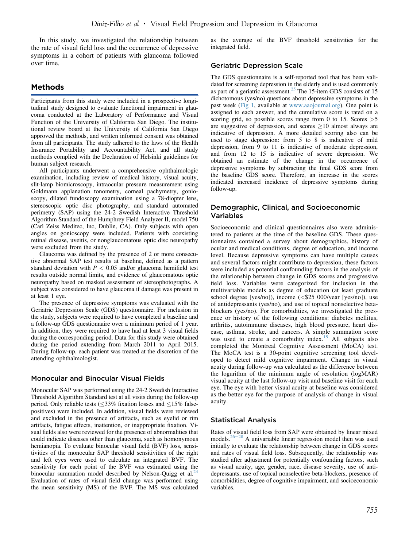In this study, we investigated the relationship between the rate of visual field loss and the occurrence of depressive symptoms in a cohort of patients with glaucoma followed over time.

## Methods

Participants from this study were included in a prospective longitudinal study designed to evaluate functional impairment in glaucoma conducted at the Laboratory of Performance and Visual Function of the University of California San Diego. The institutional review board at the University of California San Diego approved the methods, and written informed consent was obtained from all participants. The study adhered to the laws of the Health Insurance Portability and Accountability Act, and all study methods complied with the Declaration of Helsinki guidelines for human subject research.

All participants underwent a comprehensive ophthalmologic examination, including review of medical history, visual acuity, slit-lamp biomicroscopy, intraocular pressure measurement using Goldmann applanation tonometry, corneal pachymetry, gonioscopy, dilated fundoscopy examination using a 78-diopter lens, stereoscopic optic disc photography, and standard automated perimetry (SAP) using the 24-2 Swedish Interactive Threshold Algorithm Standard of the Humphrey Field Analyzer II, model 750 (Carl Zeiss Meditec, Inc, Dublin, CA). Only subjects with open angles on gonioscopy were included. Patients with coexisting retinal disease, uveitis, or nonglaucomatous optic disc neuropathy were excluded from the study.

Glaucoma was defined by the presence of 2 or more consecutive abnormal SAP test results at baseline, defined as a pattern standard deviation with  $P < 0.05$  and/or glaucoma hemifield test results outside normal limits, and evidence of glaucomatous optic neuropathy based on masked assessment of stereophotographs. A subject was considered to have glaucoma if damage was present in at least 1 eye.

The presence of depressive symptoms was evaluated with the Geriatric Depression Scale (GDS) questionnaire. For inclusion in the study, subjects were required to have completed a baseline and a follow-up GDS questionnaire over a minimum period of 1 year. In addition, they were required to have had at least 3 visual fields during the corresponding period. Data for this study were obtained during the period extending from March 2011 to April 2015. During follow-up, each patient was treated at the discretion of the attending ophthalmologist.

#### Monocular and Binocular Visual Fields

Monocular SAP was performed using the 24-2 Swedish Interactive Threshold Algorithm Standard test at all visits during the follow-up period. Only reliable tests ( $\leq$ 33% fixation losses and  $\leq$ 15% falsepositives) were included. In addition, visual fields were reviewed and excluded in the presence of artifacts, such as eyelid or rim artifacts, fatigue effects, inattention, or inappropriate fixation. Visual fields also were reviewed for the presence of abnormalities that could indicate diseases other than glaucoma, such as homonymous hemianopia. To evaluate binocular visual field (BVF) loss, sensitivities of the monocular SAP threshold sensitivities of the right and left eyes were used to calculate an integrated BVF. The sensitivity for each point of the BVF was estimated using the binocular summation model described by Nelson-Quigg et al.<sup>24</sup> Evaluation of rates of visual field change was performed using the mean sensitivity (MS) of the BVF. The MS was calculated

as the average of the BVF threshold sensitivities for the integrated field.

#### Geriatric Depression Scale

The GDS questionnaire is a self-reported tool that has been validated for screening depression in the elderly and is used commonly as part of a geriatric assessment.<sup>25</sup> The 15-item GDS consists of 15 dichotomous (yes/no) questions about depressive symptoms in the past week (Fig 1, available at www.aaojournal.org). One point is assigned to each answer, and the cumulative score is rated on a scoring grid, so possible scores range from 0 to 15. Scores  $>5$ are suggestive of depression, and scores  $\geq 10$  almost always are indicative of depression. A more detailed scoring also can be used to stage depression: from 5 to 8 is indicative of mild depression, from 9 to 11 is indicative of moderate depression, and from 12 to 15 is indicative of severe depression. We obtained an estimate of the change in the occurrence of depressive symptoms by subtracting the final GDS score from the baseline GDS score. Therefore, an increase in the scores indicated increased incidence of depressive symptoms during follow-up.

#### Demographic, Clinical, and Socioeconomic Variables

Socioeconomic and clinical questionnaires also were administered to patients at the time of the baseline GDS. These questionnaires contained a survey about demographics, history of ocular and medical conditions, degree of education, and income level. Because depressive symptoms can have multiple causes and several factors might contribute to depression, these factors were included as potential confounding factors in the analysis of the relationship between change in GDS scores and progressive field loss. Variables were categorized for inclusion in the multivariable models as degree of education (at least graduate school degree [yes/no]), income (<\$25 000/year [yes/no]), use of antidepressants (yes/no), and use of topical nonselective betablockers (yes/no). For comorbidities, we investigated the presence or history of the following conditions: diabetes mellitus, arthritis, autoimmune diseases, high blood pressure, heart disease, asthma, stroke, and cancers. A simple summation score was used to create a comorbidity index.<sup>19</sup> All subjects also completed the Montreal Cognitive Assessment (MoCA) test. The MoCA test is a 30-point cognitive screening tool developed to detect mild cognitive impairment. Change in visual acuity during follow-up was calculated as the difference between the logarithm of the minimum angle of resolution (logMAR) visual acuity at the last follow-up visit and baseline visit for each eye. The eye with better visual acuity at baseline was considered as the better eye for the purpose of analysis of change in visual acuity.

## Statistical Analysis

Rates of visual field loss from SAP were obtained by linear mixed models. $26-28$  A univariable linear regression model then was used initially to evaluate the relationship between change in GDS scores and rates of visual field loss. Subsequently, the relationship was studied after adjustment for potentially confounding factors, such as visual acuity, age, gender, race, disease severity, use of antidepressants, use of topical nonselective beta-blockers, presence of comorbidities, degree of cognitive impairment, and socioeconomic variables.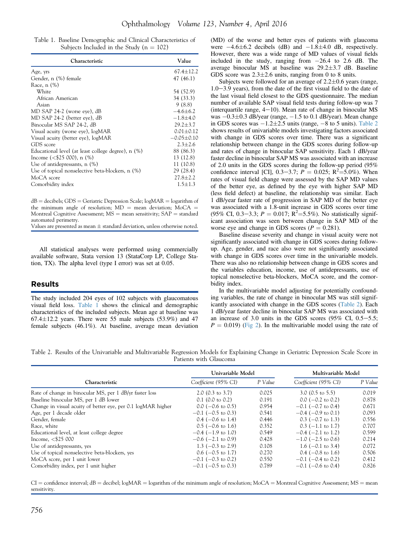Table 1. Baseline Demographic and Clinical Characteristics of Subjects Included in the Study ( $n = 102$ )

| Characteristic                                     | Value           |  |
|----------------------------------------------------|-----------------|--|
| Age, yrs                                           | $67.4 \pm 12.2$ |  |
| Gender, n (%) female                               | 47 (46.1)       |  |
| Race, n (%)                                        |                 |  |
| White                                              | 54 (52.9)       |  |
| African American                                   | 34 (33.3)       |  |
| Asian                                              | 9(8.8)          |  |
| MD SAP 24-2 (worse eye), dB                        | $-4.6 \pm 6.2$  |  |
| MD SAP 24-2 (better eye), dB                       | $-1.8 + 4.0$    |  |
| Binocular MS SAP 24-2, dB                          | $29.2 \pm 3.7$  |  |
| Visual acuity (worse eye), logMAR                  | $0.01 + 0.12$   |  |
| Visual acuity (better eye), logMAR                 | $-0.05 + 0.10$  |  |
| GDS score                                          | $2.3 + 2.6$     |  |
| Educational level (at least college degree), n (%) | 88 (86.3)       |  |
| Income $($25000), n ($)$                           | 13 (12.8)       |  |
| Use of antidepressants, $n$ $(\%)$                 | 11 (10.8)       |  |
| Use of topical nonselective beta-blockers, n (%)   | 29 (28.4)       |  |
| MoCA score                                         | $27.8 \pm 2.2$  |  |
| Comorbidity index                                  | $1.5 + 1.3$     |  |

 $dB =$  decibels; GDS = Geriatric Depression Scale; logMAR = logarithm of the minimum angle of resolution;  $MD =$  mean deviation;  $MoCA =$ Montreal Cognitive Assessment;  $MS =$  mean sensitivity;  $SAP =$  standard automated perimetry.

Values are presented as mean  $\pm$  standard deviation, unless otherwise noted.

All statistical analyses were performed using commercially available software, Stata version 13 (StataCorp LP, College Station, TX). The alpha level (type I error) was set at 0.05.

### Results

The study included 204 eyes of 102 subjects with glaucomatous visual field loss. Table 1 shows the clinical and demographic characteristics of the included subjects. Mean age at baseline was  $67.4 \pm 12.2$  years. There were 55 male subjects (53.9%) and 47 female subjects (46.1%). At baseline, average mean deviation

(MD) of the worse and better eyes of patients with glaucoma were  $-4.6\pm6.2$  decibels (dB) and  $-1.8\pm4.0$  dB, respectively. However, there was a wide range of MD values of visual fields included in the study, ranging from  $-26.4$  to 2.6 dB. The average binocular MS at baseline was  $29.2 \pm 3.7$  dB. Baseline GDS score was  $2.3 \pm 2.6$  units, ranging from 0 to 8 units.

Subjects were followed for an average of  $2.2\pm0.6$  years (range,  $1.0-3.9$  years), from the date of the first visual field to the date of the last visual field closest to the GDS questionnaire. The median number of available SAP visual field tests during follow-up was 7 (interquartile range,  $4-10$ ). Mean rate of change in binocular MS was  $-0.3\pm0.3$  dB/year (range,  $-1.5$  to 0.1 dB/year). Mean change in GDS scores was  $-1.2\pm 2.5$  units (range,  $-8$  to 5 units). Table 2 shows results of univariable models investigating factors associated with change in GDS scores over time. There was a significant relationship between change in the GDS scores during follow-up and rates of change in binocular SAP sensitivity. Each 1 dB/year faster decline in binocular SAP MS was associated with an increase of 2.0 units in the GDS scores during the follow-up period (95% confidence interval [CI], 0.3–3.7;  $P = 0.025$ ; R<sup>2</sup>=5.0%). When rates of visual field change were assessed by the SAP MD values of the better eye, as defined by the eye with higher SAP MD (less field defect) at baseline, the relationship was similar. Each 1 dB/year faster rate of progression in SAP MD of the better eye was associated with a 1.8-unit increase in GDS scores over time (95% CI, 0.3–3.3;  $P = 0.017$ ;  $R^2 = 5.5\%$ ). No statistically significant association was seen between change in SAP MD of the worse eye and change in GDS scores ( $P = 0.281$ ).

Baseline disease severity and change in visual acuity were not significantly associated with change in GDS scores during followup. Age, gender, and race also were not significantly associated with change in GDS scores over time in the univariable models. There was also no relationship between change in GDS scores and the variables education, income, use of antidepressants, use of topical nonselective beta-blockers, MoCA score, and the comorbidity index.

In the multivariable model adjusting for potentially confounding variables, the rate of change in binocular MS was still significantly associated with change in the GDS scores (Table 2). Each 1 dB/year faster decline in binocular SAP MS was associated with an increase of 3.0 units in the GDS scores  $(95\% \text{ CI}, 0.5-5.5;$  $P = 0.019$ ) (Fig 2). In the multivariable model using the rate of

Table 2. Results of the Univariable and Multivariable Regression Models for Explaining Change in Geriatric Depression Scale Score in Patients with Glaucoma

|                                                              | Univariable Model            |         | Multivariable Model          |         |
|--------------------------------------------------------------|------------------------------|---------|------------------------------|---------|
| Characteristic                                               | Coefficient (95% CI)         | P Value | Coefficient (95% CI)         | P Value |
| Rate of change in binocular MS, per 1 dB/yr faster loss      | 2.0 $(0.3 \text{ to } 3.7)$  | 0.025   | $3.0$ (0.5 to 5.5)           | 0.019   |
| Baseline binocular MS, per 1 dB lower                        | $0.1$ (0.0 to 0.2)           | 0.191   | $0.0$ (-0.2 to 0.2)          | 0.878   |
| Change in visual acuity of better eye, per 0.1 logMAR higher | $0.0$ (-0.6 to 0.5)          | 0.954   | $-0.1$ ( $-0.7$ to 0.4)      | 0.671   |
| Age, per 1 decade older                                      | $-0.1$ ( $-0.5$ to 0.3)      | 0.541   | $-0.4$ ( $-0.9$ to 0.1)      | 0.093   |
| Gender, female                                               | $0.4$ (-0.6 to 1.4)          | 0.446   | $0.3$ (-0.7 to 1.3)          | 0.556   |
| Race, white                                                  | $0.5$ (-0.6 to 1.6)          | 0.352   | $0.3$ (-1.1 to 1.7)          | 0.707   |
| Educational level, at least college degree                   | $-0.4$ ( $-1.9$ to 1.0)      | 0.549   | $-0.4$ ( $-2.1$ to 1.2)      | 0.599   |
| Income, $<$ \$25 000                                         | $-0.6$ ( $-2.1$ to 0.9)      | 0.428   | $-1.0$ ( $-2.5$ to 0.6)      | 0.214   |
| Use of antidepressants, yes                                  | 1.3 $(-0.3 \text{ to } 2.9)$ | 0.108   | 1.6 $(-0.1 \text{ to } 3.4)$ | 0.072   |
| Use of topical nonselective beta-blockers, yes               | $0.6$ ( $-0.5$ to 1.7)       | 0.270   | $0.4$ (-0.8 to 1.6)          | 0.506   |
| MoCA score, per 1 unit lower                                 | $-0.1$ ( $-0.3$ to 0.2)      | 0.550   | $-0.1$ ( $-0.4$ to 0.2)      | 0.412   |
| Comorbidity index, per 1 unit higher                         | $-0.1$ ( $-0.5$ to 0.3)      | 0.789   | $-0.1$ ( $-0.6$ to 0.4)      | 0.826   |

 $CI =$  confidence interval;  $dB =$  decibel; logMAR = logarithm of the minimum angle of resolution; MoCA = Montreal Cognitive Assessment; MS = mean sensitivity.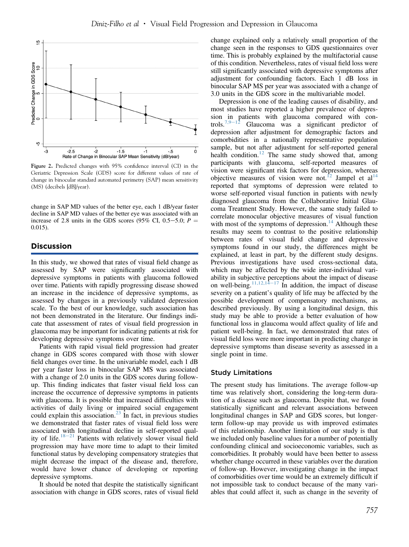

Figure 2. Predicted changes with 95% confidence interval (CI) in the Geriatric Depression Scale (GDS) score for different values of rate of change in binocular standard automated perimetry (SAP) mean sensitivity (MS) (decibels [dB]/year).

change in SAP MD values of the better eye, each 1 dB/year faster decline in SAP MD values of the better eye was associated with an increase of 2.8 units in the GDS scores (95% CI, 0.5–5.0;  $P =$ 0.015).

## **Discussion**

In this study, we showed that rates of visual field change as assessed by SAP were significantly associated with depressive symptoms in patients with glaucoma followed over time. Patients with rapidly progressing disease showed an increase in the incidence of depressive symptoms, as assessed by changes in a previously validated depression scale. To the best of our knowledge, such association has not been demonstrated in the literature. Our findings indicate that assessment of rates of visual field progression in glaucoma may be important for indicating patients at risk for developing depressive symptoms over time.

Patients with rapid visual field progression had greater change in GDS scores compared with those with slower field changes over time. In the univariable model, each 1 dB per year faster loss in binocular SAP MS was associated with a change of 2.0 units in the GDS scores during followup. This finding indicates that faster visual field loss can increase the occurrence of depressive symptoms in patients with glaucoma. It is possible that increased difficulties with activities of daily living or impaired social engagement could explain this association. $^{23}$  In fact, in previous studies we demonstrated that faster rates of visual field loss were associated with longitudinal decline in self-reported quality of life. $18-21$  Patients with relatively slower visual field progression may have more time to adapt to their limited functional status by developing compensatory strategies that might decrease the impact of the disease and, therefore, would have lower chance of developing or reporting depressive symptoms.

It should be noted that despite the statistically significant association with change in GDS scores, rates of visual field change explained only a relatively small proportion of the change seen in the responses to GDS questionnaires over time. This is probably explained by the multifactorial cause of this condition. Nevertheless, rates of visual field loss were still significantly associated with depressive symptoms after adjustment for confounding factors. Each 1 dB loss in binocular SAP MS per year was associated with a change of 3.0 units in the GDS score in the multivariable model.

Depression is one of the leading causes of disability, and most studies have reported a higher prevalence of depression in patients with glaucoma compared with con-<br>trols.<sup>7,9-12</sup> Glaucoma was a significant predictor of Glaucoma was a significant predictor of depression after adjustment for demographic factors and comorbidities in a nationally representative population sample, but not after adjustment for self-reported general health condition.<sup>12</sup> The same study showed that, among participants with glaucoma, self-reported measures of vision were significant risk factors for depression, whereas objective measures of vision were not.<sup>12</sup> Jampel et al<sup>14</sup> reported that symptoms of depression were related to worse self-reported visual function in patients with newly diagnosed glaucoma from the Collaborative Initial Glaucoma Treatment Study. However, the same study failed to correlate monocular objective measures of visual function with most of the symptoms of depression.<sup>14</sup> Although these results may seem to contrast to the positive relationship between rates of visual field change and depressive symptoms found in our study, the differences might be explained, at least in part, by the different study designs. Previous investigations have used cross-sectional data, which may be affected by the wide inter-individual variability in subjective perceptions about the impact of disease on well-being.<sup>11,12,14–17</sup> In addition, the impact of disease severity on a patient's quality of life may be affected by the possible development of compensatory mechanisms, as described previously. By using a longitudinal design, this study may be able to provide a better evaluation of how functional loss in glaucoma would affect quality of life and patient well-being. In fact, we demonstrated that rates of visual field loss were more important in predicting change in depressive symptoms than disease severity as assessed in a single point in time.

#### Study Limitations

The present study has limitations. The average follow-up time was relatively short, considering the long-term duration of a disease such as glaucoma. Despite that, we found statistically significant and relevant associations between longitudinal changes in SAP and GDS scores, but longerterm follow-up may provide us with improved estimates of this relationship. Another limitation of our study is that we included only baseline values for a number of potentially confounding clinical and socioeconomic variables, such as comorbidities. It probably would have been better to assess whether change occurred in these variables over the duration of follow-up. However, investigating change in the impact of comorbidities over time would be an extremely difficult if not impossible task to conduct because of the many variables that could affect it, such as change in the severity of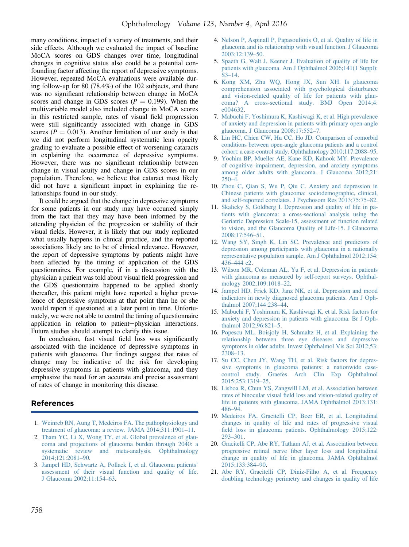many conditions, impact of a variety of treatments, and their side effects. Although we evaluated the impact of baseline MoCA scores on GDS changes over time, longitudinal changes in cognitive status also could be a potential confounding factor affecting the report of depressive symptoms. However, repeated MoCA evaluations were available during follow-up for 80 (78.4%) of the 102 subjects, and there was no significant relationship between change in MoCA scores and change in GDS scores ( $P = 0.199$ ). When the multivariable model also included change in MoCA scores in this restricted sample, rates of visual field progression were still significantly associated with change in GDS scores ( $P = 0.013$ ). Another limitation of our study is that we did not perform longitudinal systematic lens opacity grading to evaluate a possible effect of worsening cataracts in explaining the occurrence of depressive symptoms. However, there was no significant relationship between change in visual acuity and change in GDS scores in our population. Therefore, we believe that cataract most likely did not have a significant impact in explaining the relationships found in our study.

It could be argued that the change in depressive symptoms for some patients in our study may have occurred simply from the fact that they may have been informed by the attending physician of the progression or stability of their visual fields. However, it is likely that our study replicated what usually happens in clinical practice, and the reported associations likely are to be of clinical relevance. However, the report of depressive symptoms by patients might have been affected by the timing of application of the GDS questionnaires. For example, if in a discussion with the physician a patient was told about visual field progression and the GDS questionnaire happened to be applied shortly thereafter, this patient might have reported a higher prevalence of depressive symptoms at that point than he or she would report if questioned at a later point in time. Unfortunately, we were not able to control the timing of questionnaire application in relation to patient-physician interactions. Future studies should attempt to clarify this issue.

In conclusion, fast visual field loss was significantly associated with the incidence of depressive symptoms in patients with glaucoma. Our findings suggest that rates of change may be indicative of the risk for developing depressive symptoms in patients with glaucoma, and they emphasize the need for an accurate and precise assessment of rates of change in monitoring this disease.

# References

- 1. Weinreb RN, Aung T, Medeiros FA. The pathophysiology and treatment of glaucoma: a review. JAMA 2014;311:1901–11.
- 2. Tham YC, Li X, Wong TY, et al. Global prevalence of glaucoma and projections of glaucoma burden through 2040: a systematic review and meta-analysis. Ophthalmology 2014;121:2081–90.
- 3. Jampel HD, Schwartz A, Pollack I, et al. Glaucoma patients' assessment of their visual function and quality of life. J Glaucoma 2002;11:154–63.
- 4. Nelson P, Aspinall P, Papasouliotis O, et al. Quality of life in glaucoma and its relationship with visual function. J Glaucoma 2003;12:139–50.
- 5. Spaeth G, Walt J, Keener J. Evaluation of quality of life for patients with glaucoma. Am J Ophthalmol 2006;141(1 Suppl): S3–14.
- 6. Kong XM, Zhu WQ, Hong JX, Sun XH. Is glaucoma comprehension associated with psychological disturbance and vision-related quality of life for patients with glaucoma? A cross-sectional study. BMJ Open 2014;4: e004632.
- 7. Mabuchi F, Yoshimura K, Kashiwagi K, et al. High prevalence of anxiety and depression in patients with primary open-angle glaucoma. J Glaucoma 2008;17:552–7.
- 8. Lin HC, Chien CW, Hu CC, Ho JD. Comparison of comorbid conditions between open-angle glaucoma patients and a control cohort: a case-control study. Ophthalmology 2010;117:2088–95.
- 9. Yochim BP, Mueller AE, Kane KD, Kahook MY. Prevalence of cognitive impairment, depression, and anxiety symptoms among older adults with glaucoma. J Glaucoma 2012;21:  $250-4.$
- 10. Zhou C, Qian S, Wu P, Qiu C. Anxiety and depression in Chinese patients with glaucoma: sociodemographic, clinical, and self-reported correlates. J Psychosom Res 2013;75:75–82.
- 11. Skalicky S, Goldberg I. Depression and quality of life in patients with glaucoma: a cross-sectional analysis using the Geriatric Depression Scale-15, assessment of function related to vision, and the Glaucoma Quality of Life-15. J Glaucoma 2008;17:546–51.
- 12. Wang SY, Singh K, Lin SC. Prevalence and predictors of depression among participants with glaucoma in a nationally representative population sample. Am J Ophthalmol 2012;154: 436–444 e2.
- 13. Wilson MR, Coleman AL, Yu F, et al. Depression in patients with glaucoma as measured by self-report surveys. Ophthalmology 2002;109:1018–22.
- 14. Jampel HD, Frick KD, Janz NK, et al. Depression and mood indicators in newly diagnosed glaucoma patients. Am J Ophthalmol 2007;144:238–44.
- 15. Mabuchi F, Yoshimura K, Kashiwagi K, et al. Risk factors for anxiety and depression in patients with glaucoma. Br J Ophthalmol 2012;96:821–5.
- 16. Popescu ML, Boisjoly H, Schmaltz H, et al. Explaining the relationship between three eye diseases and depressive symptoms in older adults. Invest Ophthalmol Vis Sci 2012;53: 2308–13.
- 17. Su CC, Chen JY, Wang TH, et al. Risk factors for depressive symptoms in glaucoma patients: a nationwide casecontrol study. Graefes Arch Clin Exp Ophthalmol 2015;253:1319–25.
- 18. Lisboa R, Chun YS, Zangwill LM, et al. Association between rates of binocular visual field loss and vision-related quality of life in patients with glaucoma. JAMA Ophthalmol 2013;131: 486–94.
- 19. Medeiros FA, Gracitelli CP, Boer ER, et al. Longitudinal changes in quality of life and rates of progressive visual field loss in glaucoma patients. Ophthalmology 2015;122: 293–301.
- 20. Gracitelli CP, Abe RY, Tatham AJ, et al. Association between progressive retinal nerve fiber layer loss and longitudinal change in quality of life in glaucoma. JAMA Ophthalmol 2015;133:384–90.
- 21. Abe RY, Gracitelli CP, Diniz-Filho A, et al. Frequency doubling technology perimetry and changes in quality of life